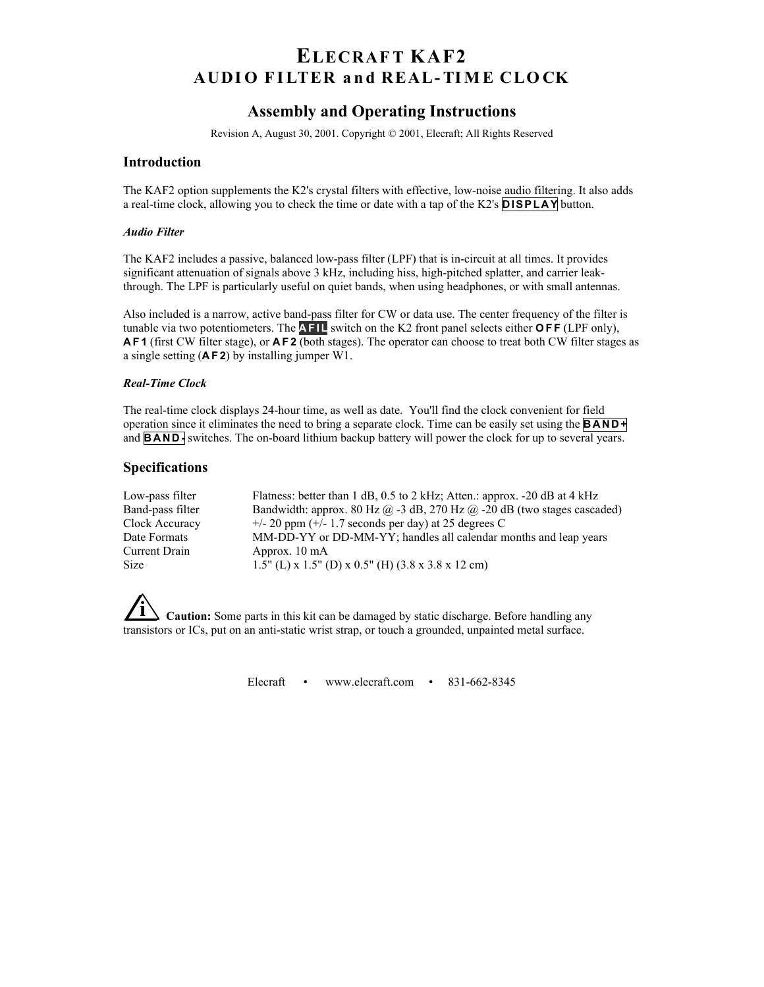## **E L E C R A F T K A F 2 AUDIO FILTER and REAL-TIME CLOCK**

## **Assembly and Operating Instructions**

Revision A, August 30, 2001. Copyright © 2001, Elecraft; All Rights Reserved

### **Introduction**

The KAF2 option supplements the K2's crystal filters with effective, low-noise audio filtering. It also adds a real-time clock, allowing you to check the time or date with a tap of the K2's **DISPLAY** button.

#### *Audio Filter*

The KAF2 includes a passive, balanced low-pass filter (LPF) that is in-circuit at all times. It provides significant attenuation of signals above 3 kHz, including hiss, high-pitched splatter, and carrier leakthrough. The LPF is particularly useful on quiet bands, when using headphones, or with small antennas.

Also included is a narrow, active band-pass filter for CW or data use. The center frequency of the filter is tunable via two potentiometers. The **A F I L** switch on the K2 front panel selects either **O F F** (LPF only), **A F 1** (first CW filter stage), or **A F 2** (both stages). The operator can choose to treat both CW filter stages as a single setting (**A F 2** ) by installing jumper W1.

#### *Real-Time Clock*

The real-time clock displays 24-hour time, as well as date. You'll find the clock convenient for field operation since it eliminates the need to bring a separate clock. Time can be easily set using the **B A N D +**  and **B A N D -** switches. The on-board lithium backup battery will power the clock for up to several years.

#### **Specifications**

| Low-pass filter  | Flatness: better than 1 dB, 0.5 to 2 kHz; Atten.: approx. -20 dB at 4 kHz             |
|------------------|---------------------------------------------------------------------------------------|
| Band-pass filter | Bandwidth: approx. 80 Hz $\omega$ -3 dB, 270 Hz $\omega$ -20 dB (two stages cascaded) |
| Clock Accuracy   | $+/- 20$ ppm $(+/- 1.7$ seconds per day) at 25 degrees C                              |
| Date Formats     | MM-DD-YY or DD-MM-YY; handles all calendar months and leap years                      |
| Current Drain    | Approx. 10 mA                                                                         |
| <b>Size</b>      | 1.5" (L) x 1.5" (D) x 0.5" (H) $(3.8 \times 3.8 \times 12 \text{ cm})$                |

**i Caution:** Some parts in this kit can be damaged by static discharge. Before handling any transistors or ICs, put on an anti-static wrist strap, or touch a grounded, unpainted metal surface.

Elecraft • www.elecraft.com • 831-662-8345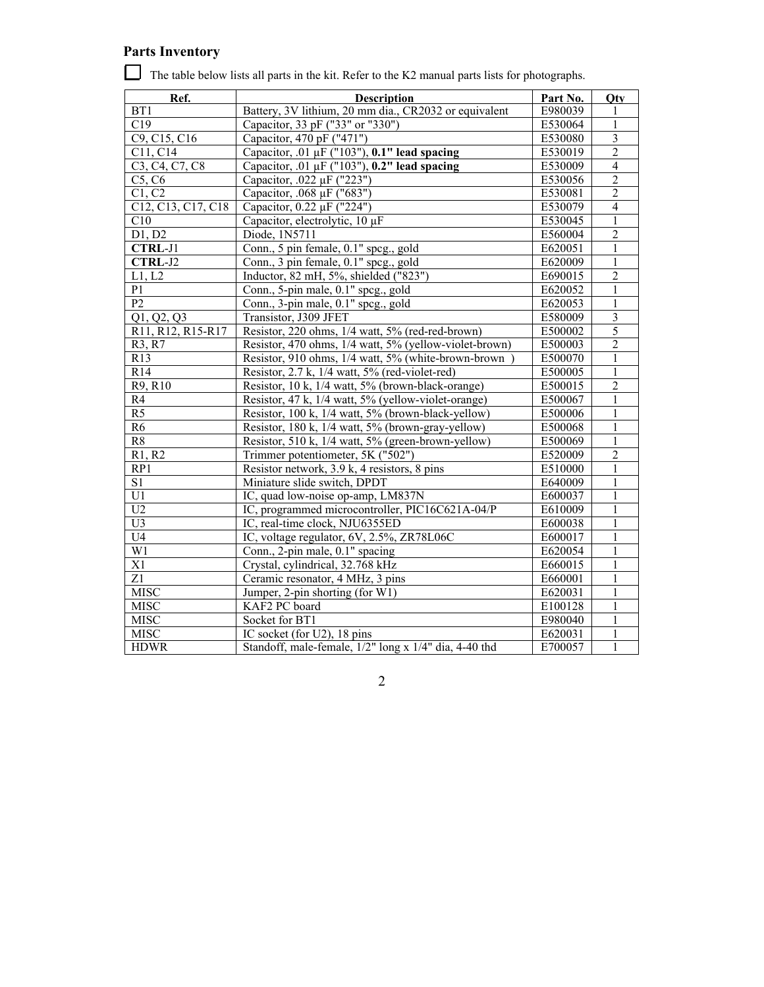# **Parts Inventory**

| Ref.                                                              | <b>Description</b>                                     | Part No. | <b>Qty</b>     |
|-------------------------------------------------------------------|--------------------------------------------------------|----------|----------------|
| B <sub>T1</sub>                                                   | Battery, 3V lithium, 20 mm dia., CR2032 or equivalent  | E980039  | 1              |
| C19                                                               | Capacitor, 33 pF ("33" or "330")                       | E530064  | $\mathbf{1}$   |
| C9, C15, C16                                                      | Capacitor, 470 pF ("471")                              | E530080  | 3              |
| C11, C14                                                          | Capacitor, .01 µF ("103"), 0.1" lead spacing           | E530019  | $\overline{c}$ |
| C <sub>3</sub> , C <sub>4</sub> , C <sub>7</sub> , C <sub>8</sub> | Capacitor, .01 µF ("103"), 0.2" lead spacing           | E530009  | $\overline{4}$ |
| C5, C6                                                            | Capacitor, .022 µF ("223")                             | E530056  | $\overline{2}$ |
| C1, C2                                                            | Capacitor, .068 µF ("683")                             | E530081  | $\overline{2}$ |
| C12, C13, C17, C18                                                | Capacitor, 0.22 µF ("224")                             | E530079  | $\overline{4}$ |
| C10                                                               | Capacitor, electrolytic, 10 µF                         | E530045  | 1              |
| D1, D2                                                            | Diode, 1N5711                                          | E560004  | $\overline{2}$ |
| CTRL-J1                                                           | Conn., 5 pin female, 0.1" spcg., gold                  | E620051  | $\mathbf{1}$   |
| CTRL-J2                                                           | Conn., 3 pin female, 0.1" spcg., gold                  | E620009  | $\mathbf{1}$   |
| L1, L2                                                            | Inductor, 82 mH, 5%, shielded ("823")                  | E690015  | $\overline{2}$ |
| P1                                                                | Conn., 5-pin male, 0.1" spcg., gold                    | E620052  | 1              |
| P <sub>2</sub>                                                    | Conn., 3-pin male, 0.1" spcg., gold                    | E620053  | 1              |
| Q1, Q2, Q3                                                        | Transistor, J309 JFET                                  | E580009  | $\overline{3}$ |
| R11, R12, R15-R17                                                 | Resistor, 220 ohms, 1/4 watt, 5% (red-red-brown)       | E500002  | 5              |
| R3, R7                                                            | Resistor, 470 ohms, 1/4 watt, 5% (yellow-violet-brown) | E500003  | $\overline{2}$ |
| R13                                                               | Resistor, 910 ohms, 1/4 watt, 5% (white-brown-brown    | E500070  | 1              |
| R14                                                               | Resistor, 2.7 k, 1/4 watt, 5% (red-violet-red)         | E500005  | 1              |
| R9, R10                                                           | Resistor, 10 k, 1/4 watt, 5% (brown-black-orange)      | E500015  | $\overline{2}$ |
| R4                                                                | Resistor, 47 k, 1/4 watt, 5% (yellow-violet-orange)    | E500067  | 1              |
| R <sub>5</sub>                                                    | Resistor, 100 k, 1/4 watt, 5% (brown-black-yellow)     | E500006  | 1              |
| R <sub>6</sub>                                                    | Resistor, 180 k, 1/4 watt, 5% (brown-gray-yellow)      | E500068  | 1              |
| R8                                                                | Resistor, 510 k, 1/4 watt, 5% (green-brown-yellow)     | E500069  | 1              |
| R1, R2                                                            | Trimmer potentiometer, 5K ("502")                      | E520009  | $\overline{2}$ |
| RP1                                                               | Resistor network, 3.9 k, 4 resistors, 8 pins           | E510000  | 1              |
| S1                                                                | Miniature slide switch, DPDT                           | E640009  | 1              |
| U1                                                                | IC, quad low-noise op-amp, LM837N                      | E600037  | 1              |
| $\overline{U2}$                                                   | IC, programmed microcontroller, PIC16C621A-04/P        | E610009  | 1              |
| U3                                                                | IC, real-time clock, NJU6355ED                         | E600038  | 1              |
| $\overline{U4}$                                                   | IC, voltage regulator, 6V, 2.5%, ZR78L06C              | E600017  | 1              |
| W1                                                                | Conn., 2-pin male, 0.1" spacing                        | E620054  | 1              |
| $\overline{X}$                                                    | Crystal, cylindrical, 32.768 kHz                       | E660015  | 1              |
| Z1                                                                | Ceramic resonator, 4 MHz, 3 pins                       | E660001  | 1              |
| <b>MISC</b>                                                       | Jumper, 2-pin shorting (for W1)                        | E620031  | 1              |
| <b>MISC</b>                                                       | KAF2 PC board                                          | E100128  | 1              |
| <b>MISC</b>                                                       | Socket for BT1                                         | E980040  | 1              |
| <b>MISC</b>                                                       | IC socket (for U2), 18 pins                            | E620031  | 1              |
| <b>HDWR</b>                                                       | Standoff, male-female, 1/2" long x 1/4" dia, 4-40 thd  | E700057  | $\mathbf{1}$   |

The table below lists all parts in the kit. Refer to the K2 manual parts lists for photographs.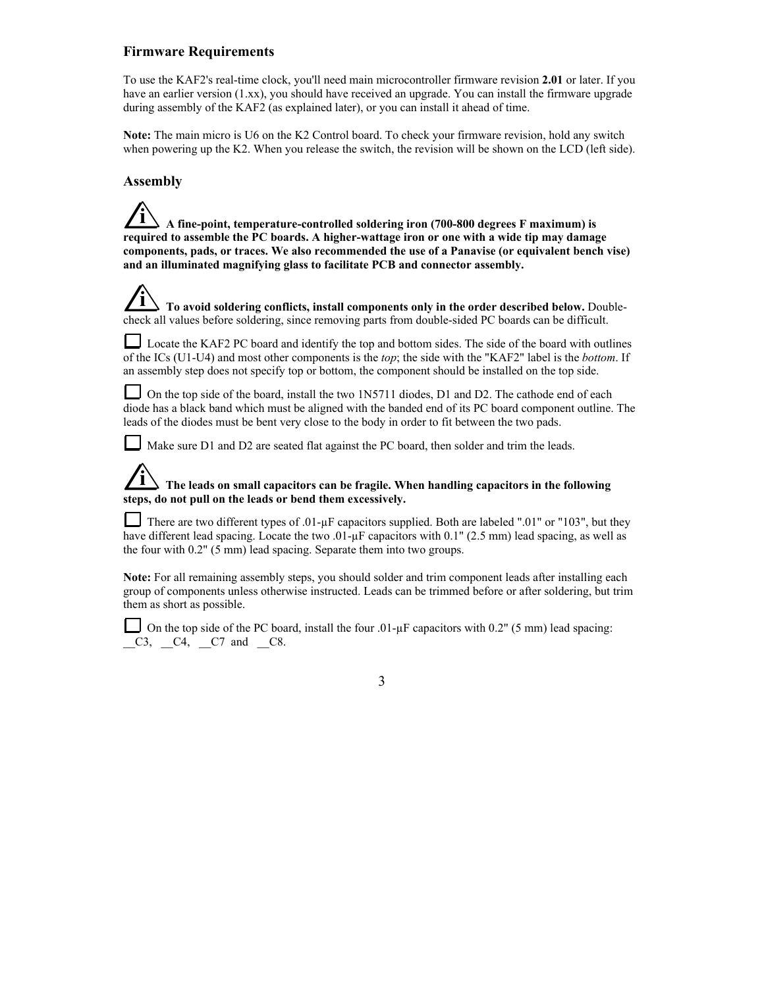## **Firmware Requirements**

To use the KAF2's real-time clock, you'll need main microcontroller firmware revision **2.01** or later. If you have an earlier version (1.xx), you should have received an upgrade. You can install the firmware upgrade during assembly of the KAF2 (as explained later), or you can install it ahead of time.

**Note:** The main micro is U6 on the K2 Control board. To check your firmware revision, hold any switch when powering up the K2. When you release the switch, the revision will be shown on the LCD (left side).

### **Assembly**

**i A fine-point, temperature-controlled soldering iron (700-800 degrees F maximum) is required to assemble the PC boards. A higher-wattage iron or one with a wide tip may damage components, pads, or traces. We also recommended the use of a Panavise (or equivalent bench vise) and an illuminated magnifying glass to facilitate PCB and connector assembly.**

**i To avoid soldering conflicts, install components only in the order described below.** Doublecheck all values before soldering, since removing parts from double-sided PC boards can be difficult.

Locate the KAF2 PC board and identify the top and bottom sides. The side of the board with outlines of the ICs (U1-U4) and most other components is the *top*; the side with the "KAF2" label is the *bottom*. If an assembly step does not specify top or bottom, the component should be installed on the top side.

On the top side of the board, install the two 1N5711 diodes, D1 and D2. The cathode end of each diode has a black band which must be aligned with the banded end of its PC board component outline. The leads of the diodes must be bent very close to the body in order to fit between the two pads.

Make sure D1 and D2 are seated flat against the PC board, then solder and trim the leads.

#### **i The leads on small capacitors can be fragile. When handling capacitors in the following steps, do not pull on the leads or bend them excessively.**

There are two different types of  $.01-\mu$ F capacitors supplied. Both are labeled ".01" or "103", but they have different lead spacing. Locate the two .01-µF capacitors with 0.1" (2.5 mm) lead spacing, as well as the four with 0.2" (5 mm) lead spacing. Separate them into two groups.

**Note:** For all remaining assembly steps, you should solder and trim component leads after installing each group of components unless otherwise instructed. Leads can be trimmed before or after soldering, but trim them as short as possible.

On the top side of the PC board, install the four .01- $\mu$ F capacitors with 0.2" (5 mm) lead spacing:  $\begin{array}{cccc} \boxed{\text{C3}}, & \boxed{\text{C4}}, & \boxed{\text{C7}} \text{ and } & \boxed{\text{C8}}. \end{array}$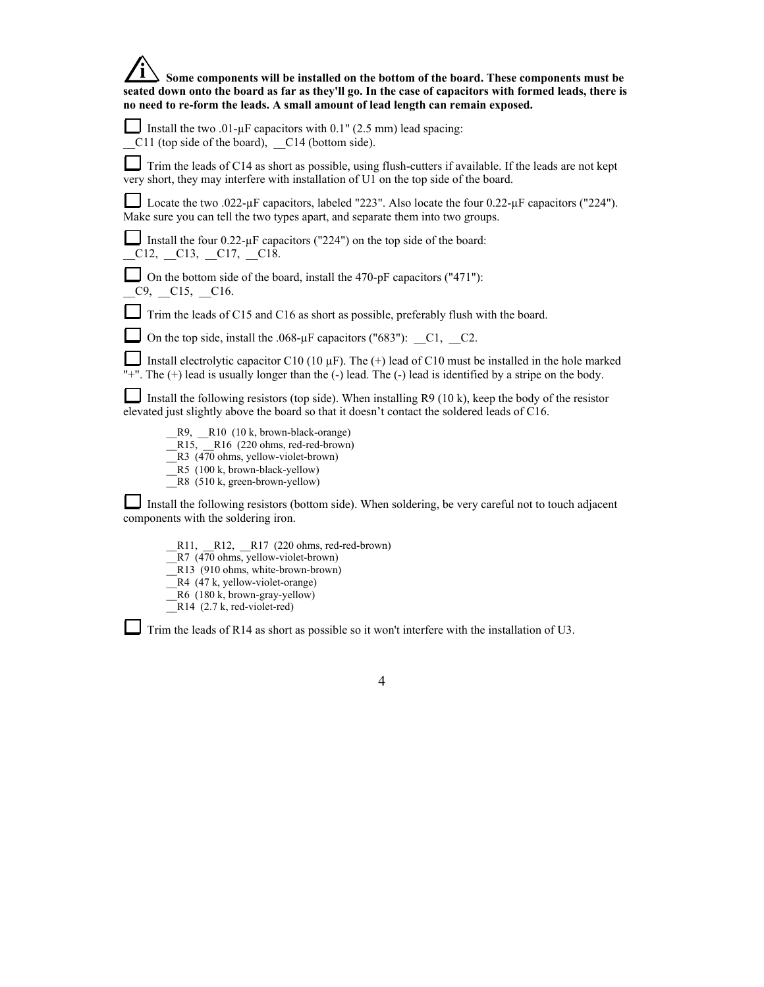| ∕∙<br>Some components will be installed on the bottom of the board. These components must be<br>seated down onto the board as far as they'll go. In the case of capacitors with formed leads, there is<br>no need to re-form the leads. A small amount of lead length can remain exposed. |
|-------------------------------------------------------------------------------------------------------------------------------------------------------------------------------------------------------------------------------------------------------------------------------------------|
| Install the two .01- $\mu$ F capacitors with 0.1" (2.5 mm) lead spacing:<br>C11 (top side of the board), C14 (bottom side).                                                                                                                                                               |
| Trim the leads of C14 as short as possible, using flush-cutters if available. If the leads are not kept<br>very short, they may interfere with installation of U1 on the top side of the board.                                                                                           |
| Locate the two .022- $\mu$ F capacitors, labeled "223". Also locate the four 0.22- $\mu$ F capacitors ("224").<br>Make sure you can tell the two types apart, and separate them into two groups.                                                                                          |
| Install the four $0.22-\mu F$ capacitors ("224") on the top side of the board:<br>C12, C13, C17, C18.                                                                                                                                                                                     |
| On the bottom side of the board, install the 470-pF capacitors ("471"):<br>$C9, \_\_C15, \_\_C16.$                                                                                                                                                                                        |
| Trim the leads of C15 and C16 as short as possible, preferably flush with the board.                                                                                                                                                                                                      |
| On the top side, install the .068- $\mu$ F capacitors ("683"): C1, C2.                                                                                                                                                                                                                    |
| Install electrolytic capacitor C10 (10 $\mu$ F). The (+) lead of C10 must be installed in the hole marked<br>"+". The $(+)$ lead is usually longer than the $(-)$ lead. The $(-)$ lead is identified by a stripe on the body.                                                             |
| Install the following resistors (top side). When installing $R9(10 \text{ k})$ , keep the body of the resistor<br>elevated just slightly above the board so that it doesn't contact the soldered leads of C16.                                                                            |
| R9, R10 (10 k, brown-black-orange)<br>R15, R16 (220 ohms, red-red-brown)<br>R3 (470 ohms, yellow-violet-brown)<br>R5 (100 k, brown-black-yellow)<br>R8 (510 k, green-brown-yellow)                                                                                                        |
| Install the following resistors (bottom side). When soldering, be very careful not to touch adjacent<br>components with the soldering iron.                                                                                                                                               |

- R11, R12, R17 (220 ohms, red-red-brown)
- \_\_R7 (470 ohms, yellow-violet-brown)
- R13 (910 ohms, white-brown-brown)
- R4 (47 k, yellow-violet-orange)
- R6 (180 k, brown-gray-yellow)
- $R14$  (2.7 k, red-violet-red)

Trim the leads of R14 as short as possible so it won't interfere with the installation of U3.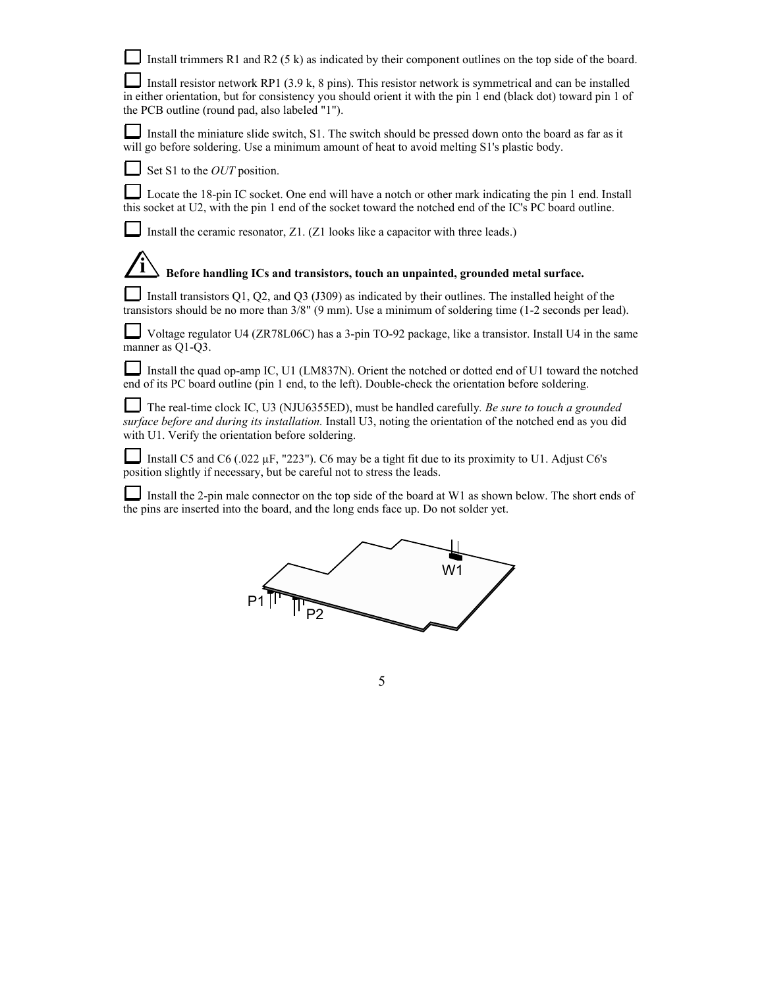| Install trimmers R1 and R2 $(5 k)$ as indicated by their component outlines on the top side of the board.                                                                                                                                                                                      |
|------------------------------------------------------------------------------------------------------------------------------------------------------------------------------------------------------------------------------------------------------------------------------------------------|
| Install resistor network RP1 $(3.9 \text{ k}, 8 \text{ pins})$ . This resistor network is symmetrical and can be installed<br>in either orientation, but for consistency you should orient it with the pin 1 end (black dot) toward pin 1 of<br>the PCB outline (round pad, also labeled "1"). |
| Install the miniature slide switch, S1. The switch should be pressed down onto the board as far as it<br>will go before soldering. Use a minimum amount of heat to avoid melting S1's plastic body.                                                                                            |
| Set S1 to the OUT position.                                                                                                                                                                                                                                                                    |
| Locate the 18-pin IC socket. One end will have a notch or other mark indicating the pin 1 end. Install<br>this socket at U2, with the pin 1 end of the socket toward the notched end of the IC's PC board outline.                                                                             |
| Install the ceramic resonator, Z1. (Z1 looks like a capacitor with three leads.)                                                                                                                                                                                                               |
| Before handling ICs and transistors, touch an unpainted, grounded metal surface.                                                                                                                                                                                                               |
| Install transistors $Q1$ , $Q2$ , and $Q3$ (J309) as indicated by their outlines. The installed height of the<br>transistors should be no more than $3/8$ " (9 mm). Use a minimum of soldering time (1-2 seconds per lead).                                                                    |
| Voltage regulator U4 (ZR78L06C) has a 3-pin TO-92 package, like a transistor. Install U4 in the same<br>manner as Q1-Q3.                                                                                                                                                                       |
| Install the quad op-amp IC, U1 (LM837N). Orient the notched or dotted end of U1 toward the notched<br>end of its PC board outline (pin 1 end, to the left). Double-check the orientation before soldering.                                                                                     |
| The real-time clock IC, U3 (NJU6355ED), must be handled carefully. Be sure to touch a grounded<br>surface before and during its installation. Install U3, noting the orientation of the notched end as you did<br>with U1. Verify the orientation before soldering.                            |
| Install C5 and C6 (.022 µF, "223"). C6 may be a tight fit due to its proximity to U1. Adjust C6's<br>position slightly if necessary, but be careful not to stress the leads.                                                                                                                   |
| Install the 2-pin male connector on the top side of the board at W1 as shown below. The short ends of<br>the pins are inserted into the board, and the long ends face up. Do not solder yet.                                                                                                   |
| . .                                                                                                                                                                                                                                                                                            |

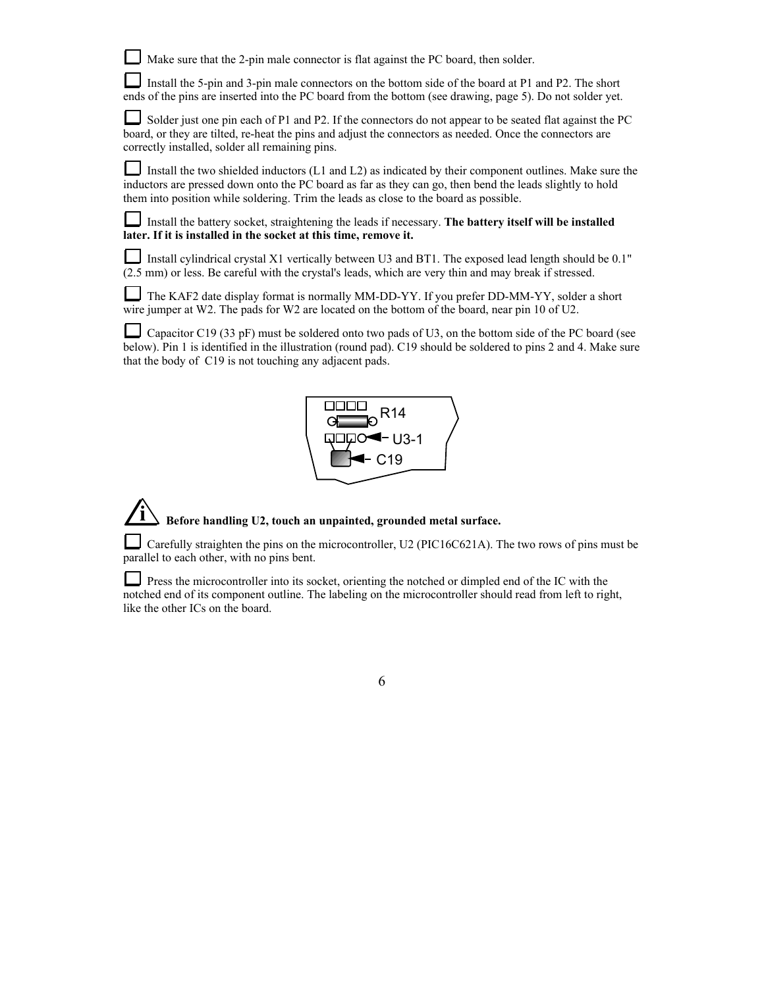| Make sure that the 2-pin male connector is flat against the PC board, then solder. |  |  |  |  |  |
|------------------------------------------------------------------------------------|--|--|--|--|--|
|------------------------------------------------------------------------------------|--|--|--|--|--|

Install the 5-pin and 3-pin male connectors on the bottom side of the board at P1 and P2. The short ends of the pins are inserted into the PC board from the bottom (see drawing, page 5). Do not solder yet.

Solder just one pin each of P1 and P2. If the connectors do not appear to be seated flat against the PC board, or they are tilted, re-heat the pins and adjust the connectors as needed. Once the connectors are correctly installed, solder all remaining pins.

Install the two shielded inductors (L1 and L2) as indicated by their component outlines. Make sure the inductors are pressed down onto the PC board as far as they can go, then bend the leads slightly to hold them into position while soldering. Trim the leads as close to the board as possible.

Install the battery socket, straightening the leads if necessary. **The battery itself will be installed later. If it is installed in the socket at this time, remove it.**

Install cylindrical crystal X1 vertically between U3 and BT1. The exposed lead length should be 0.1" (2.5 mm) or less. Be careful with the crystal's leads, which are very thin and may break if stressed.

The KAF2 date display format is normally MM-DD-YY. If you prefer DD-MM-YY, solder a short wire jumper at W2. The pads for W2 are located on the bottom of the board, near pin 10 of U2.

Capacitor C19 (33 pF) must be soldered onto two pads of U3, on the bottom side of the PC board (see below). Pin 1 is identified in the illustration (round pad). C19 should be soldered to pins 2 and 4. Make sure that the body of C19 is not touching any adjacent pads.



## **i Before handling U2, touch an unpainted, grounded metal surface.**

Carefully straighten the pins on the microcontroller, U2 (PIC16C621A). The two rows of pins must be parallel to each other, with no pins bent.

**Press the microcontroller into its socket, orienting the notched or dimpled end of the IC with the** notched end of its component outline. The labeling on the microcontroller should read from left to right, like the other ICs on the board.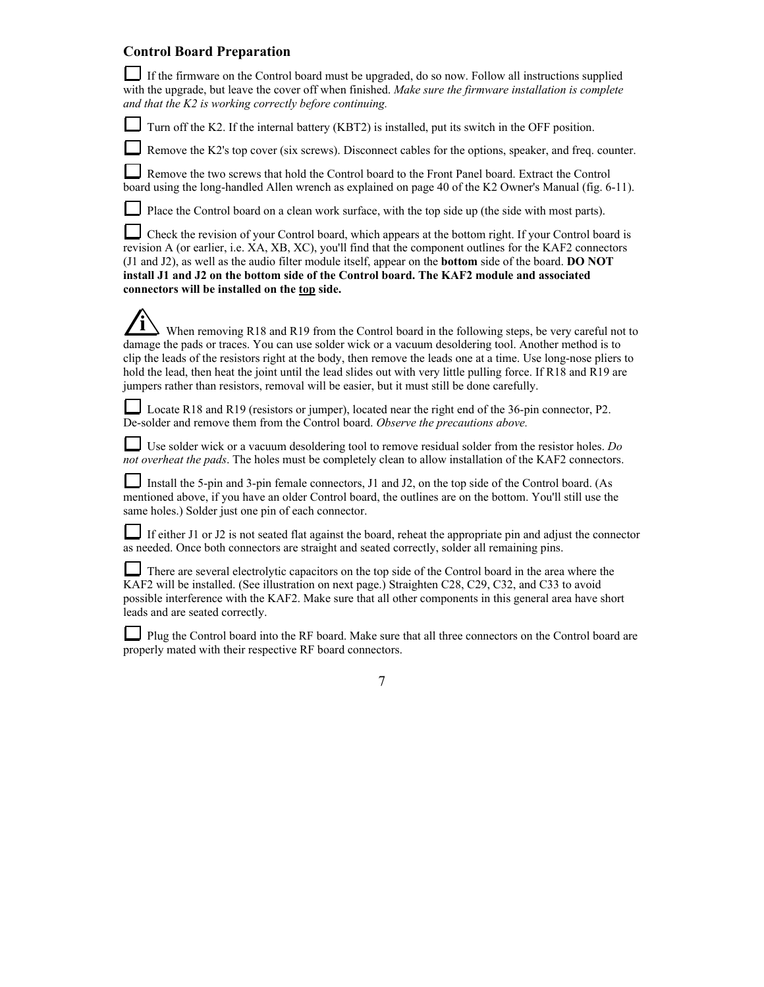## **Control Board Preparation**

If the firmware on the Control board must be upgraded, do so now. Follow all instructions supplied with the upgrade, but leave the cover off when finished. *Make sure the firmware installation is complete and that the K2 is working correctly before continuing.*

Remove the K2's top cover (six screws). Disconnect cables for the options, speaker, and freq. counter.

Remove the two screws that hold the Control board to the Front Panel board. Extract the Control board using the long-handled Allen wrench as explained on page 40 of the K2 Owner's Manual (fig. 6-11).

Place the Control board on a clean work surface, with the top side up (the side with most parts).

⊔ Check the revision of your Control board, which appears at the bottom right. If your Control board is revision A (or earlier, i.e. XA, XB, XC), you'll find that the component outlines for the KAF2 connectors (J1 and J2), as well as the audio filter module itself, appear on the **bottom** side of the board. **DO NOT install J1 and J2 on the bottom side of the Control board. The KAF2 module and associated connectors will be installed on the top side.**

**i** When removing R18 and R19 from the Control board in the following steps, be very careful not to damage the pads or traces. You can use solder wick or a vacuum desoldering tool. Another method is to clip the leads of the resistors right at the body, then remove the leads one at a time. Use long-nose pliers to hold the lead, then heat the joint until the lead slides out with very little pulling force. If R18 and R19 are jumpers rather than resistors, removal will be easier, but it must still be done carefully.

Locate R18 and R19 (resistors or jumper), located near the right end of the 36-pin connector, P2. De-solder and remove them from the Control board. *Observe the precautions above.*

Use solder wick or a vacuum desoldering tool to remove residual solder from the resistor holes. *Do not overheat the pads*. The holes must be completely clean to allow installation of the KAF2 connectors.

Install the 5-pin and 3-pin female connectors, J1 and J2, on the top side of the Control board. (As mentioned above, if you have an older Control board, the outlines are on the bottom. You'll still use the same holes.) Solder just one pin of each connector.

If either J1 or J2 is not seated flat against the board, reheat the appropriate pin and adjust the connector as needed. Once both connectors are straight and seated correctly, solder all remaining pins.

There are several electrolytic capacitors on the top side of the Control board in the area where the KAF2 will be installed. (See illustration on next page.) Straighten C28, C29, C32, and C33 to avoid possible interference with the KAF2. Make sure that all other components in this general area have short leads and are seated correctly.

**Plug the Control board into the RF board. Make sure that all three connectors on the Control board are** properly mated with their respective RF board connectors.

| ٠ |  |  |
|---|--|--|
|   |  |  |
|   |  |  |
|   |  |  |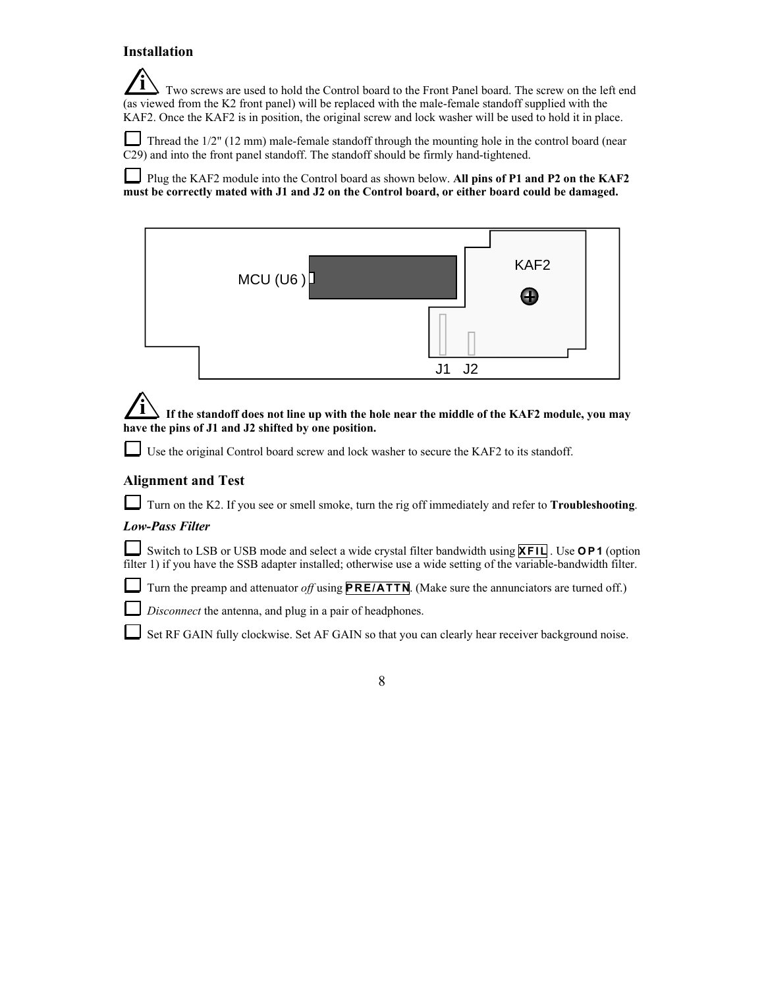## **Installation**

**i** Two screws are used to hold the Control board to the Front Panel board. The screw on the left end (as viewed from the K2 front panel) will be replaced with the male-female standoff supplied with the KAF2. Once the KAF2 is in position, the original screw and lock washer will be used to hold it in place.

Thread the 1/2" (12 mm) male-female standoff through the mounting hole in the control board (near C29) and into the front panel standoff. The standoff should be firmly hand-tightened.

 $\Box$ Plug the KAF2 module into the Control board as shown below. **All pins of P1 and P2 on the KAF2 must be correctly mated with J1 and J2 on the Control board, or either board could be damaged.**



**i If the standoff does not line up with the hole near the middle of the KAF2 module, you may have the pins of J1 and J2 shifted by one position.**

Use the original Control board screw and lock washer to secure the KAF2 to its standoff.

## **Alignment and Test**

|  | Turn on the K2. If you see or smell smoke, turn the rig off immediately and refer to Troubleshooting. |  |  |
|--|-------------------------------------------------------------------------------------------------------|--|--|
|  |                                                                                                       |  |  |

#### *Low-Pass Filter*

Switch to LSB or USB mode and select a wide crystal filter bandwidth using **XFIL**. Use **OP1** (option filter 1) if you have the SSB adapter installed; otherwise use a wide setting of the variable-bandwidth filter.

Turn the preamp and attenuator *off* using **PRE/ATTN**. (Make sure the annunciators are turned off.)

*Disconnect* the antenna, and plug in a pair of headphones.

Set RF GAIN fully clockwise. Set AF GAIN so that you can clearly hear receiver background noise.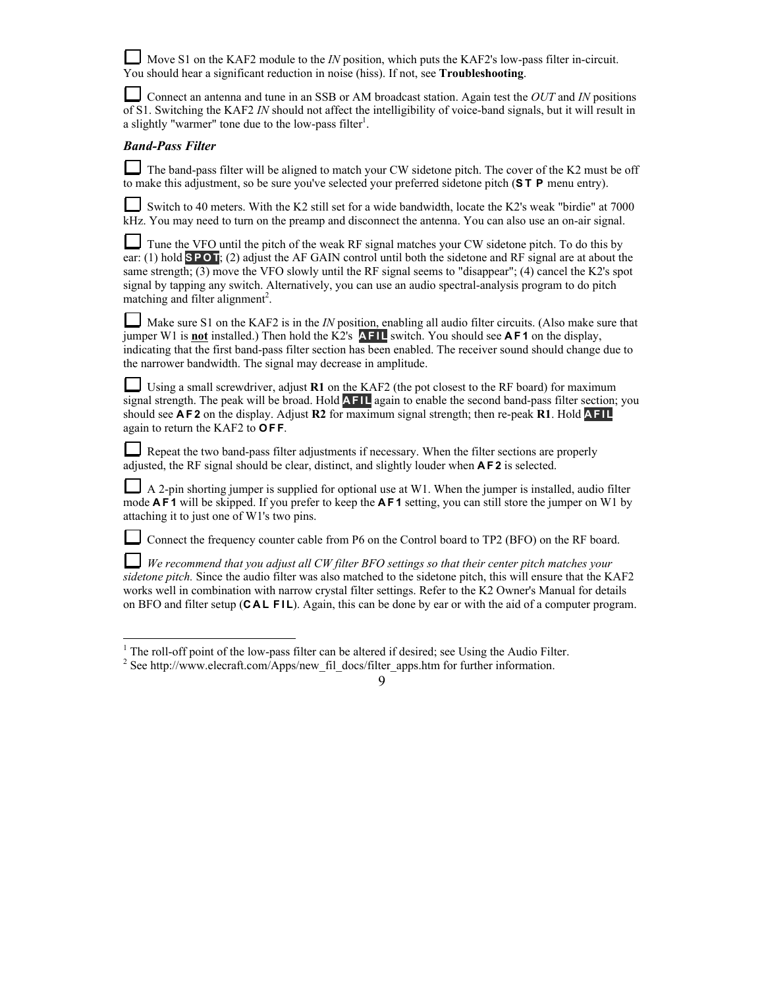| Move S1 on the KAF2 module to the <i>IN</i> position, which puts the KAF2's low-pass filter in-circuit. |  |
|---------------------------------------------------------------------------------------------------------|--|
| You should hear a significant reduction in noise (hiss). If not, see <b>Troubleshooting</b> .           |  |

Connect an antenna and tune in an SSB or AM broadcast station. Again test the *OUT* and *IN* positions of S1. Switching the KAF2 *IN* should not affect the intelligibility of voice-band signals, but it will result in a slightly "warmer" tone due to the low-pass filter<sup>1</sup>.

#### *Band-Pass Filter*

The band-pass filter will be aligned to match your CW sidetone pitch. The cover of the K2 must be off to make this adjustment, so be sure you've selected your preferred sidetone pitch (**S T P** menu entry).

Switch to 40 meters. With the K2 still set for a wide bandwidth, locate the K2's weak "birdie" at 7000 kHz. You may need to turn on the preamp and disconnect the antenna. You can also use an on-air signal.

Tune the VFO until the pitch of the weak RF signal matches your CW sidetone pitch. To do this by ear: (1) hold **SPOT**; (2) adjust the AF GAIN control until both the sidetone and RF signal are at about the same strength; (3) move the VFO slowly until the RF signal seems to "disappear"; (4) cancel the K2's spot signal by tapping any switch. Alternatively, you can use an audio spectral-analysis program to do pitch matching and filter alignment<sup>2</sup>.

Make sure S1 on the KAF2 is in the *IN* position, enabling all audio filter circuits. (Also make sure that jumper W1 is **not** installed.) Then hold the K2's **A F I L** switch. You should see **A F 1** on the display, indicating that the first band-pass filter section has been enabled. The receiver sound should change due to the narrower bandwidth. The signal may decrease in amplitude.

Using a small screwdriver, adjust **R1** on the KAF2 (the pot closest to the RF board) for maximum signal strength. The peak will be broad. Hold **A F I L** again to enable the second band-pass filter section; you should see **A F 2** on the display. Adjust **R2** for maximum signal strength; then re-peak **R1**. Hold **A F I L**  again to return the KAF2 to **O F F** .

Repeat the two band-pass filter adjustments if necessary. When the filter sections are properly adjusted, the RF signal should be clear, distinct, and slightly louder when **A F 2** is selected.

 $\Box$  A 2-pin shorting jumper is supplied for optional use at W1. When the jumper is installed, audio filter mode **A F 1** will be skipped. If you prefer to keep the **A F 1** setting, you can still store the jumper on W1 by attaching it to just one of W1's two pins.

Connect the frequency counter cable from P6 on the Control board to TP2 (BFO) on the RF board.

*We recommend that you adjust all CW filter BFO settings so that their center pitch matches your sidetone pitch.* Since the audio filter was also matched to the sidetone pitch, this will ensure that the KAF2 works well in combination with narrow crystal filter settings. Refer to the K2 Owner's Manual for details on BFO and filter setup (**C A L F I L** ). Again, this can be done by ear or with the aid of a computer program.

 $2^2$  See http://www.elecraft.com/Apps/new\_fil\_docs/filter\_apps.htm for further information.



 $<sup>1</sup>$  The roll-off point of the low-pass filter can be altered if desired; see Using the Audio Filter.</sup>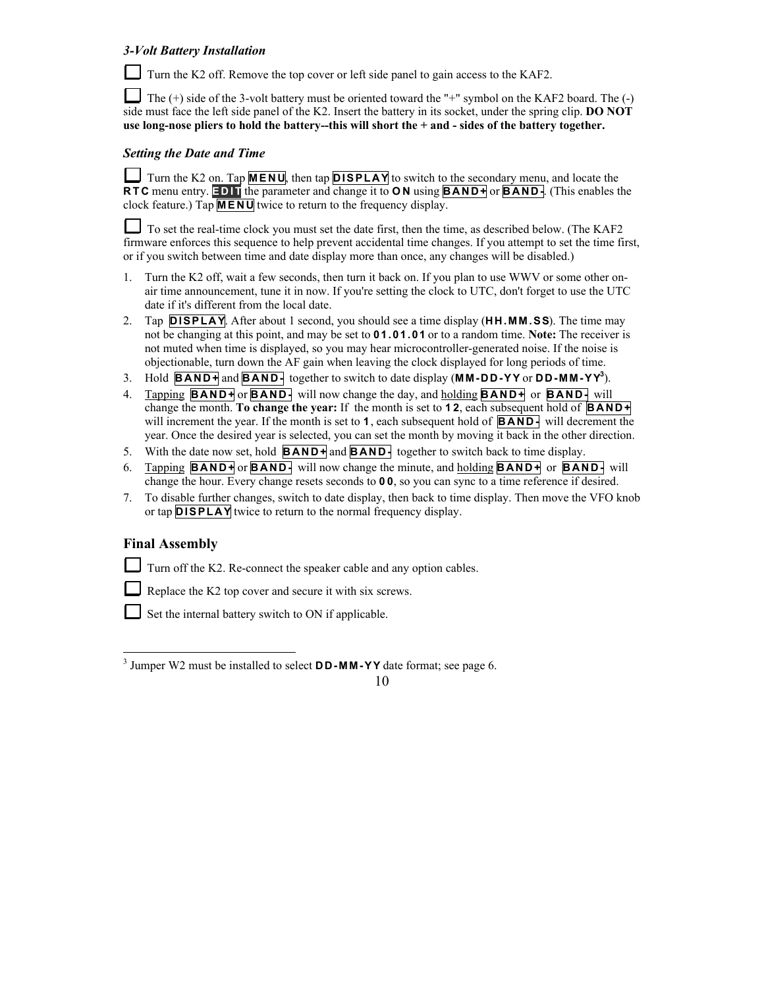#### *3-Volt Battery Installation*

Turn the K2 off. Remove the top cover or left side panel to gain access to the KAF2.

The  $(+)$  side of the 3-volt battery must be oriented toward the "+" symbol on the KAF2 board. The  $(-)$ side must face the left side panel of the K2. Insert the battery in its socket, under the spring clip. **DO NOT use long-nose pliers to hold the battery--this will short the + and - sides of the battery together.**

#### *Setting the Date and Time*

Turn the K2 on. Tap **M E N U** , then tap **D I S P L A Y** to switch to the secondary menu, and locate the **R T C** menu entry. **E D I T** the parameter and change it to **O N** using **B A N D +** or **B A N D -** . (This enables the clock feature.) Tap **M E N U** twice to return to the frequency display.

To set the real-time clock you must set the date first, then the time, as described below. (The KAF2 firmware enforces this sequence to help prevent accidental time changes. If you attempt to set the time first, or if you switch between time and date display more than once, any changes will be disabled.)

- 1. Turn the K2 off, wait a few seconds, then turn it back on. If you plan to use WWV or some other onair time announcement, tune it in now. If you're setting the clock to UTC, don't forget to use the UTC date if it's different from the local date.
- 2. Tap **D I S P L A Y** . After about 1 second, you should see a time display (**H H . M M . S S** ). The time may not be changing at this point, and may be set to **0 1 . 0 1 . 0 1** or to a random time. **Note:** The receiver is not muted when time is displayed, so you may hear microcontroller-generated noise. If the noise is objectionable, turn down the AF gain when leaving the clock displayed for long periods of time.
- 3. Hold  $\overrightarrow{BAND+}$  and  $\overrightarrow{BAND-}$  together to switch to date display ( $\overrightarrow{MM-DD-}$   $\overrightarrow{YN}$  or  $\overrightarrow{DD-}MM-YY^3$ ).
- 4. Tapping **B A N D +** or **B A N D** will now change the day, and holding **B A N D +** or **B A N D** will change the month. **To change the year:** If the month is set to **12**, each subsequent hold of **BAND**+ will increment the year. If the month is set to **1**, each subsequent hold of **BAND**- will decrement the year. Once the desired year is selected, you can set the month by moving it back in the other direction.
- 5. With the date now set, hold **B A N D +** and **B A N D** together to switch back to time display.
- 6. Tapping **B A N D +** or **B A N D** will now change the minute, and holding **B A N D +** or **B A N D** will change the hour. Every change resets seconds to **0 0** , so you can sync to a time reference if desired.
- 7. To disable further changes, switch to date display, then back to time display. Then move the VFO knob or tap **DISPLAY** twice to return to the normal frequency display.

## **Final Assembly**

- Turn off the K2. Re-connect the speaker cable and any option cables.
- Replace the K2 top cover and secure it with six screws.
- $\Box$  Set the internal battery switch to ON if applicable.

 3 Jumper W2 must be installed to select **D D - M M - Y Y** date format; see page 6.

<sup>10</sup>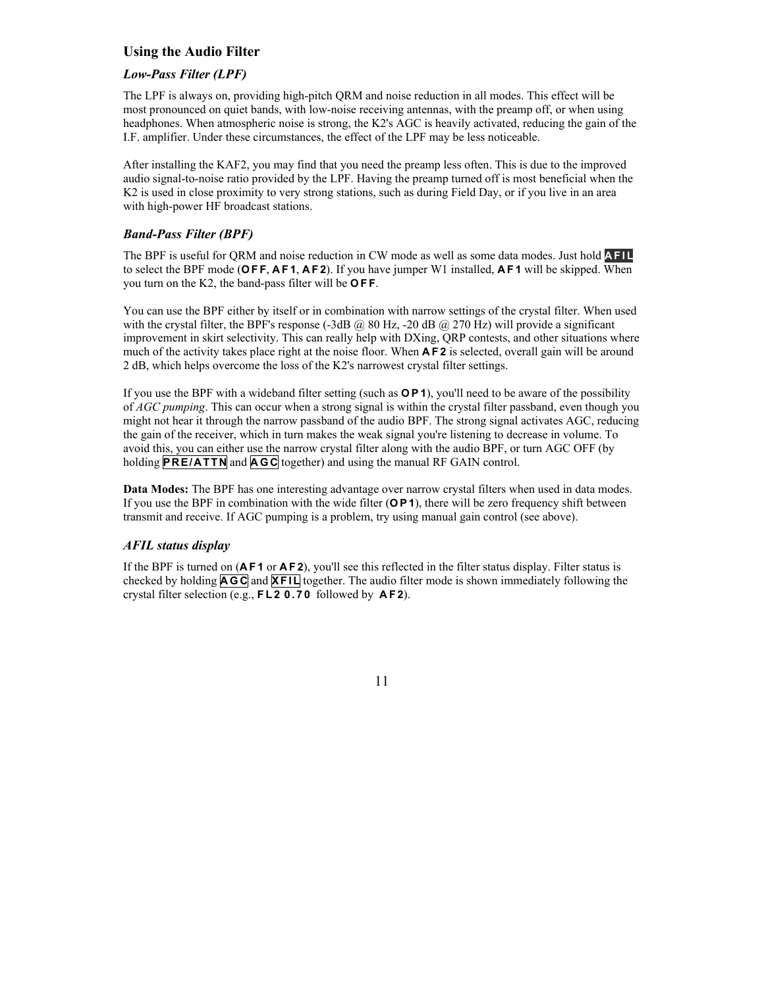## **Using the Audio Filter**

#### *Low-Pass Filter (LPF)*

The LPF is always on, providing high-pitch QRM and noise reduction in all modes. This effect will be most pronounced on quiet bands, with low-noise receiving antennas, with the preamp off, or when using headphones. When atmospheric noise is strong, the K2's AGC is heavily activated, reducing the gain of the I.F. amplifier. Under these circumstances, the effect of the LPF may be less noticeable.

After installing the KAF2, you may find that you need the preamp less often. This is due to the improved audio signal-to-noise ratio provided by the LPF. Having the preamp turned off is most beneficial when the K2 is used in close proximity to very strong stations, such as during Field Day, or if you live in an area with high-power HF broadcast stations.

#### *Band-Pass Filter (BPF)*

The BPF is useful for QRM and noise reduction in CW mode as well as some data modes. Just hold **A F I L**  to select the BPF mode (**O F F** , **A F 1** , **A F 2** ). If you have jumper W1 installed, **A F 1** will be skipped. When you turn on the K2, the band-pass filter will be **O F F** .

You can use the BPF either by itself or in combination with narrow settings of the crystal filter. When used with the crystal filter, the BPF's response (-3dB @ 80 Hz, -20 dB @ 270 Hz) will provide a significant improvement in skirt selectivity. This can really help with DXing, QRP contests, and other situations where much of the activity takes place right at the noise floor. When **A F 2** is selected, overall gain will be around 2 dB, which helps overcome the loss of the K2's narrowest crystal filter settings.

If you use the BPF with a wideband filter setting (such as **O P 1** ), you'll need to be aware of the possibility of *AGC pumping*. This can occur when a strong signal is within the crystal filter passband, even though you might not hear it through the narrow passband of the audio BPF. The strong signal activates AGC, reducing the gain of the receiver, which in turn makes the weak signal you're listening to decrease in volume. To avoid this, you can either use the narrow crystal filter along with the audio BPF, or turn AGC OFF (by holding **PRE/ATTN** and **AGC** together) and using the manual RF GAIN control.

**Data Modes:** The BPF has one interesting advantage over narrow crystal filters when used in data modes. If you use the BPF in combination with the wide filter (**O P 1** ), there will be zero frequency shift between transmit and receive. If AGC pumping is a problem, try using manual gain control (see above).

#### *AFIL status display*

If the BPF is turned on (**A F 1** or **A F 2** ), you'll see this reflected in the filter status display. Filter status is checked by holding **AGC** and **XFIL** together. The audio filter mode is shown immediately following the crystal filter selection (e.g., **F L 2 0 . 7 0** followed by **A F 2** ).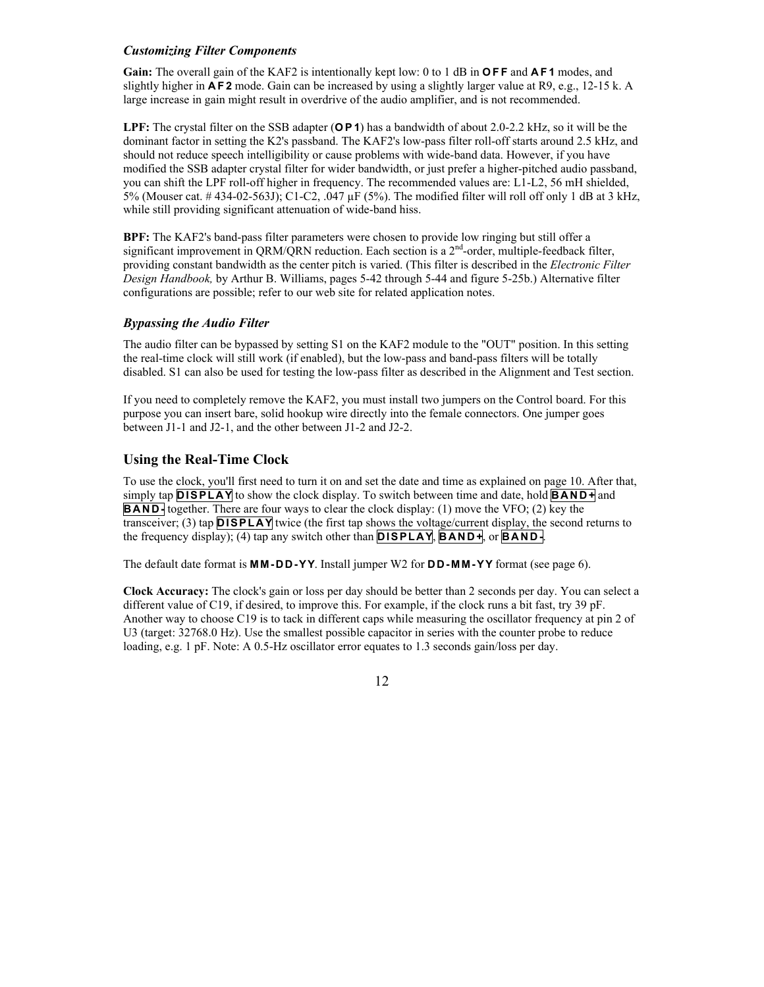#### *Customizing Filter Components*

**Gain:** The overall gain of the KAF2 is intentionally kept low: 0 to 1 dB in **O F F** and **A F 1** modes, and slightly higher in **A F 2** mode. Gain can be increased by using a slightly larger value at R9, e.g., 12-15 k. A large increase in gain might result in overdrive of the audio amplifier, and is not recommended.

**LPF:** The crystal filter on the SSB adapter (**O P 1** ) has a bandwidth of about 2.0-2.2 kHz, so it will be the dominant factor in setting the K2's passband. The KAF2's low-pass filter roll-off starts around 2.5 kHz, and should not reduce speech intelligibility or cause problems with wide-band data. However, if you have modified the SSB adapter crystal filter for wider bandwidth, or just prefer a higher-pitched audio passband, you can shift the LPF roll-off higher in frequency. The recommended values are: L1-L2, 56 mH shielded, 5% (Mouser cat. # 434-02-563J); C1-C2, .047 µF (5%). The modified filter will roll off only 1 dB at 3 kHz, while still providing significant attenuation of wide-band hiss.

**BPF:** The KAF2's band-pass filter parameters were chosen to provide low ringing but still offer a significant improvement in QRM/QRN reduction. Each section is a  $2<sup>nd</sup>$ -order, multiple-feedback filter, providing constant bandwidth as the center pitch is varied. (This filter is described in the *Electronic Filter Design Handbook,* by Arthur B. Williams, pages 5-42 through 5-44 and figure 5-25b.) Alternative filter configurations are possible; refer to our web site for related application notes.

#### *Bypassing the Audio Filter*

The audio filter can be bypassed by setting S1 on the KAF2 module to the "OUT" position. In this setting the real-time clock will still work (if enabled), but the low-pass and band-pass filters will be totally disabled. S1 can also be used for testing the low-pass filter as described in the Alignment and Test section.

If you need to completely remove the KAF2, you must install two jumpers on the Control board. For this purpose you can insert bare, solid hookup wire directly into the female connectors. One jumper goes between J1-1 and J2-1, and the other between J1-2 and J2-2.

## **Using the Real-Time Clock**

To use the clock, you'll first need to turn it on and set the date and time as explained on page 10. After that, simply tap **DISPLAY** to show the clock display. To switch between time and date, hold **BAND**+ and **BAND**-together. There are four ways to clear the clock display: (1) move the VFO; (2) key the transceiver; (3) tap **DISPLAY** twice (the first tap shows the voltage/current display, the second returns to the frequency display); (4) tap any switch other than **DISPLAY**, **BAND**+, or **BAND**-.

The default date format is **M M - D D - Y Y** . Install jumper W2 for **D D - M M - Y Y** format (see page 6).

**Clock Accuracy:** The clock's gain or loss per day should be better than 2 seconds per day. You can select a different value of C19, if desired, to improve this. For example, if the clock runs a bit fast, try 39 pF. Another way to choose C19 is to tack in different caps while measuring the oscillator frequency at pin 2 of U3 (target: 32768.0 Hz). Use the smallest possible capacitor in series with the counter probe to reduce loading, e.g. 1 pF. Note: A 0.5-Hz oscillator error equates to 1.3 seconds gain/loss per day.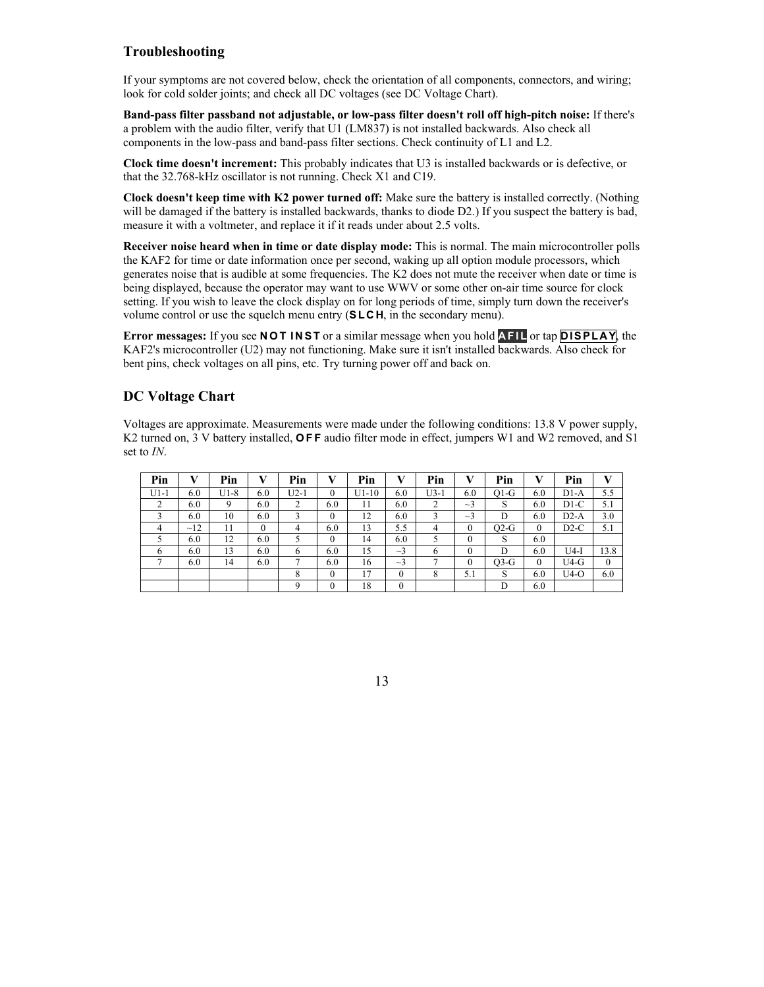## **Troubleshooting**

If your symptoms are not covered below, check the orientation of all components, connectors, and wiring; look for cold solder joints; and check all DC voltages (see DC Voltage Chart).

**Band-pass filter passband not adjustable, or low-pass filter doesn't roll off high-pitch noise:** If there's a problem with the audio filter, verify that U1 (LM837) is not installed backwards. Also check all components in the low-pass and band-pass filter sections. Check continuity of L1 and L2.

**Clock time doesn't increment:** This probably indicates that U3 is installed backwards or is defective, or that the 32.768-kHz oscillator is not running. Check X1 and C19.

**Clock doesn't keep time with K2 power turned off:** Make sure the battery is installed correctly. (Nothing will be damaged if the battery is installed backwards, thanks to diode D2.) If you suspect the battery is bad, measure it with a voltmeter, and replace it if it reads under about 2.5 volts.

**Receiver noise heard when in time or date display mode:** This is normal. The main microcontroller polls the KAF2 for time or date information once per second, waking up all option module processors, which generates noise that is audible at some frequencies. The K2 does not mute the receiver when date or time is being displayed, because the operator may want to use WWV or some other on-air time source for clock setting. If you wish to leave the clock display on for long periods of time, simply turn down the receiver's volume control or use the squelch menu entry (SLCH, in the secondary menu).

**Error messages:** If you see **NOT INST** or a similar message when you hold **AFIL** or tap **DISPLAY**, the KAF2's microcontroller (U2) may not functioning. Make sure it isn't installed backwards. Also check for bent pins, check voltages on all pins, etc. Try turning power off and back on.

## **DC Voltage Chart**

Voltages are approximate. Measurements were made under the following conditions: 13.8 V power supply, K2 turned on, 3 V battery installed, **O F F** audio filter mode in effect, jumpers W1 and W2 removed, and S1 set to *IN*.

| Pin    | $\mathbf{V}$ | Pin         | V7       | Pin  |          | Pin     | $\mathbf{v}$ | Pin    |                    | Pin    | V            | Pin     | $\mathbf{V}$ |
|--------|--------------|-------------|----------|------|----------|---------|--------------|--------|--------------------|--------|--------------|---------|--------------|
| $U1-1$ | 6.0          | U1-8        | 6.0      | U2-1 | 0        | $U1-10$ | 6.0          | $U3-1$ | 6.0                | $O1-G$ | 6.0          | $D1-A$  | 5.5          |
|        | 6.0          | $\mathbf Q$ | 6.0      | 2    | 6.0      | 11      | 6.0          | 2      | $\sim$<br>$\sim$ 3 | S      | 6.0          | $D1-C$  | 5.1          |
|        | 6.0          | 10          | 6.0      |      | $\Omega$ | 12      | 6.0          | 3      | $\sim$ 3           | D      | 6.0          | $D2-A$  | 3.0          |
| 4      | $\sim$ 12    | 11          | $\theta$ | 4    | 6.0      | 13      | 5.5          | 4      | $\theta$           | $O2-G$ | $\mathbf{0}$ | $D2-C$  | 5.1          |
|        | 6.0          | 12          | 6.0      |      | $\theta$ | 14      | 6.0          |        | $\theta$           | S      | 6.0          |         |              |
| 6      | 6.0          | 13          | 6.0      | 6    | 6.0      | 15      | $\sim$ 3     | 6      | $\theta$           | D      | 6.0          | $U$ 4-I | 13.8         |
|        | 6.0          | 14          | 6.0      |      | 6.0      | 16      | $\sim$ 3     |        |                    | $O3-G$ | $\mathbf{0}$ | U4-G    | $\mathbf{0}$ |
|        |              |             |          | 8    | $\theta$ | 17      | $\theta$     | 8      | 5.1                | S      | 6.0          | U4-O    | 6.0          |
|        |              |             |          |      | $\Omega$ | 18      | $\Omega$     |        |                    | D      | 6.0          |         |              |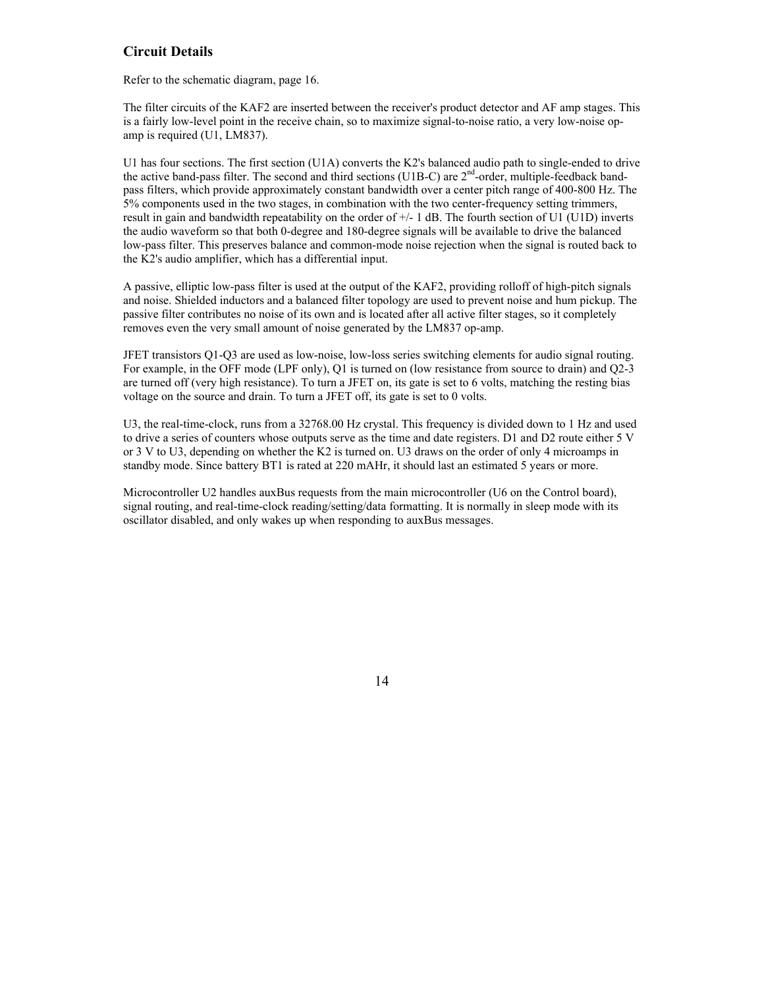## **Circuit Details**

Refer to the schematic diagram, page 16.

The filter circuits of the KAF2 are inserted between the receiver's product detector and AF amp stages. This is a fairly low-level point in the receive chain, so to maximize signal-to-noise ratio, a very low-noise opamp is required (U1, LM837).

U1 has four sections. The first section (U1A) converts the K2's balanced audio path to single-ended to drive the active band-pass filter. The second and third sections (U1B-C) are  $2<sup>nd</sup>$ -order, multiple-feedback bandpass filters, which provide approximately constant bandwidth over a center pitch range of 400-800 Hz. The 5% components used in the two stages, in combination with the two center-frequency setting trimmers, result in gain and bandwidth repeatability on the order of +/- 1 dB. The fourth section of U1 (U1D) inverts the audio waveform so that both 0-degree and 180-degree signals will be available to drive the balanced low-pass filter. This preserves balance and common-mode noise rejection when the signal is routed back to the K2's audio amplifier, which has a differential input.

A passive, elliptic low-pass filter is used at the output of the KAF2, providing rolloff of high-pitch signals and noise. Shielded inductors and a balanced filter topology are used to prevent noise and hum pickup. The passive filter contributes no noise of its own and is located after all active filter stages, so it completely removes even the very small amount of noise generated by the LM837 op-amp.

JFET transistors Q1-Q3 are used as low-noise, low-loss series switching elements for audio signal routing. For example, in the OFF mode (LPF only), Q1 is turned on (low resistance from source to drain) and Q2-3 are turned off (very high resistance). To turn a JFET on, its gate is set to 6 volts, matching the resting bias voltage on the source and drain. To turn a JFET off, its gate is set to 0 volts.

U3, the real-time-clock, runs from a 32768.00 Hz crystal. This frequency is divided down to 1 Hz and used to drive a series of counters whose outputs serve as the time and date registers. D1 and D2 route either 5 V or 3 V to U3, depending on whether the K2 is turned on. U3 draws on the order of only 4 microamps in standby mode. Since battery BT1 is rated at 220 mAHr, it should last an estimated 5 years or more.

Microcontroller U2 handles auxBus requests from the main microcontroller (U6 on the Control board), signal routing, and real-time-clock reading/setting/data formatting. It is normally in sleep mode with its oscillator disabled, and only wakes up when responding to auxBus messages.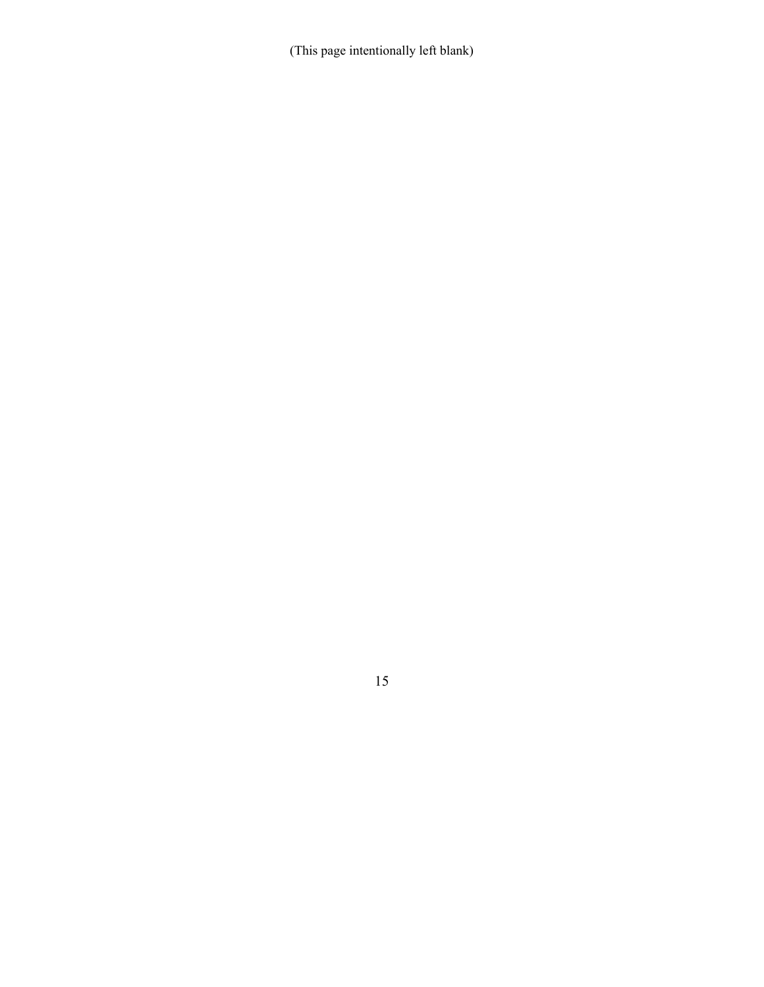(This page intentionally left blank)